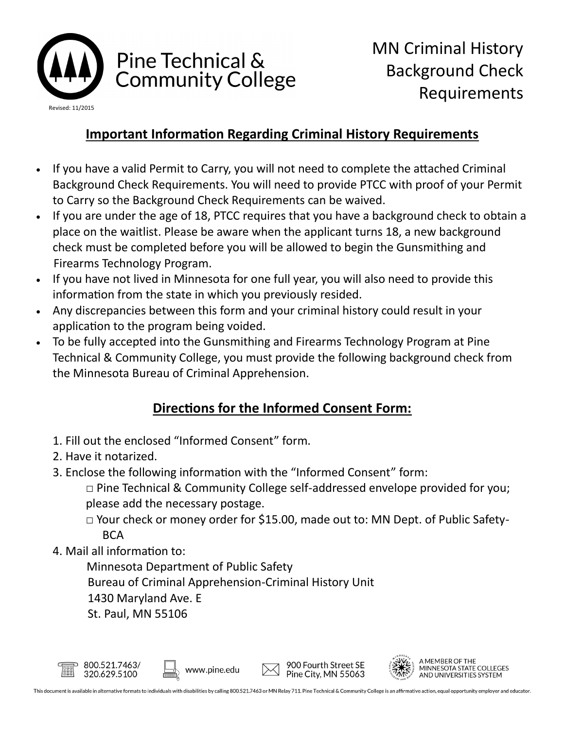

## Pine Technical & **Community College**

## **Important Information Regarding Criminal History Requirements**

- If you have a valid Permit to Carry, you will not need to complete the attached Criminal Background Check Requirements. You will need to provide PTCC with proof of your Permit to Carry so the Background Check Requirements can be waived.
- If you are under the age of 18, PTCC requires that you have a background check to obtain a place on the waitlist. Please be aware when the applicant turns 18, a new background check must be completed before you will be allowed to begin the Gunsmithing and Firearms Technology Program.
- If you have not lived in Minnesota for one full year, you will also need to provide this information from the state in which you previously resided.
- Any discrepancies between this form and your criminal history could result in your application to the program being voided.
- To be fully accepted into the Gunsmithing and Firearms Technology Program at Pine Technical & Community College, you must provide the following background check from the Minnesota Bureau of Criminal Apprehension.

## **Directions for the Informed Consent Form:**

- 1. Fill out the enclosed "Informed Consent" form.
- 2. Have it notarized.
- 3. Enclose the following information with the "Informed Consent" form:
	- $\Box$  Pine Technical & Community College self-addressed envelope provided for you; please add the necessary postage.
	- □ Your check or money order for \$15.00, made out to: MN Dept. of Public Safety-**BCA**
- 4. Mail all information to:
	- Minnesota Department of Public Safety
	- Bureau of Criminal Apprehension-Criminal History Unit
	- 1430 Maryland Ave. E
	- St. Paul, MN 55106